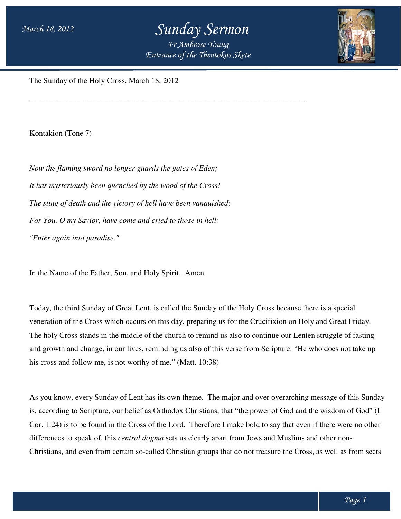## *Sunday Sermon*

*Entrance of the Theotokos Skete Fr Ambrose Young*

\_\_\_\_\_\_\_\_\_\_\_\_\_\_\_\_\_\_\_\_\_\_\_\_\_\_\_\_\_\_\_\_\_\_\_\_\_\_\_\_\_\_\_\_\_\_\_\_\_\_\_\_\_\_\_\_\_\_\_\_\_\_\_\_\_\_\_\_\_\_



The Sunday of the Holy Cross, March 18, 2012

\_\_\_\_\_\_\_\_\_\_\_\_\_\_\_\_\_\_\_\_\_\_\_\_\_\_\_\_\_\_\_\_\_\_\_\_

Kontakion (Tone 7)

*Now the flaming sword no longer guards the gates of Eden; It has mysteriously been quenched by the wood of the Cross! Now the flaming sword no longer guards the gates of Eden;<br>It has mysteriously been quenched by the wood of the Cross!<br>The sting of death and the victory of hell have been vanquished; For You, O my Savior, have come and cried to those in hell: my Savior, "Enter again into paradise."* gates of Eden;<br>
and of the Cross!<br>
been vanquished;<br>
to those in hell:<br>
irit. Amen.<br>
led the Sunday of the Holy Cross because there is a special<br>
day, preparing us for the Crucifixion on Holy and Great Friday.

In the Name of the Father, Son, and Holy Spirit. Amen.

Today, the third Sunday of Great Lent, is called the Sunday of the Holy Cross because there is a special veneration of the Cross which occurs on this day, preparing us for the Crucifixion on Holy and Great Friday. The holy Cross stands in the middle of the church to remind us also to continue our Lenten struggle of fasting Today, the third Sunday of Great Lent, is called the Sunday of the Holy Cross because there is a special<br>veneration of the Cross which occurs on this day, preparing us for the Crucifixion on Holy and Great Friday.<br>The holy his cross and follow me, is not worthy of me." (Matt. 10:38)

his cross and follow me, is not worthy of me." (Matt. 10:38)<br>As you know, every Sunday of Lent has its own theme. The major and over overarching message of this Sunday As you know, every Sunday of Lent has its own theme. The major and over overarching message of this Sunday<br>is, according to Scripture, our belief as Orthodox Christians, that "the power of God and the wisdom of God" (I<br>Cor Cor. 1:24) is to be found in the Cross of the Lord. Therefore I make bold to say that even if there were no other differences to speak of, this *central dogma* sets us clearly apart from Jews and Muslims and other non-Christians, and even from certain so-called Christian groups that do not treasure the Cross, as well as from sects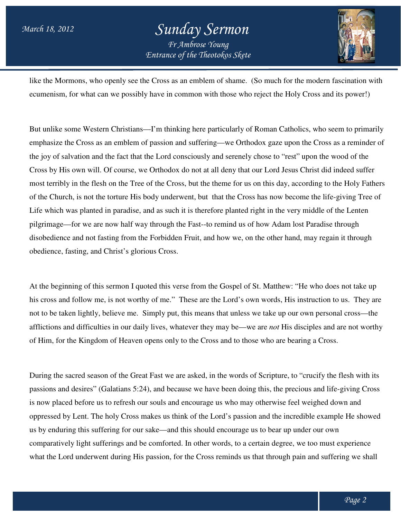## *Entrance of the Theotokos Skete Sunday Sermon Fr Ambrose Young*



like the Mormons, who openly see the Cross as an emblem of shame. (So much for the modern fascination with ecumenism, for what can we possibly have in common with those who reject the Holy Cross and its power!)

ecumenism, for what can we possibly have in common with those who reject the Holy Cross and its power!)<br>But unlike some Western Christians—I'm thinking here particularly of Roman Catholics, who seem to primarily emphasize the Cross as an emblem of passion and suffering—we Orthodox gaze upon the Cross as a reminder of the joy of salvation and the fact that the Lord consciously and serenely chose to "rest" upon the wood of the Cross by His own will. Of course, we Orthodox do not at all deny that our Lord Jesus Christ did indeed suffer most terribly in the flesh on the Tree of the Cross, but the theme for us on this day, according to the Holy Fathers of the Church, is not the torture His body underwent, but that the Cross has now become the life-giving Tree of Life which was planted in paradise, and as such it is therefore planted right in the very middle of the Lenten Life which was planted in paradise, and as such it is therefore planted right in the very middle of the Lenten<br>pilgrimage—for we are now half way through the Fast--to remind us of how Adam lost Paradise through disobedience and not fasting from the Forbidden Fruit, and how we, on the other hand, may regain it through obedience, fasting, and Christ's glorious Cross. emphasize the Cross as an emblem of passion and suffering—we Orthodox gaze upon the Cross as a reminder of<br>the joy of salvation and the fact that the Lord consciously and serenely chose to "rest" upon the wood of the<br>Cross d us of how Adam lost Paradise through<br>we, on the other hand, may regain it through<br>pel of St. Matthew: "He who does not take up<br>rd's own words, His instruction to us. They are

obedience, fasting, and Christ's glorious Cross.<br>At the beginning of this sermon I quoted this verse from the Gospel of St. Matthew: "He who does not take up his cross and follow me, is not worthy of me." These are the Lord's own words, His instruction to us. not to be taken lightly, believe me. Simply put, this means that unless we take up our own person personal cross—the afflictions and difficulties in our daily lives, whatever they may be—we are *not* His disciples and are not worthy of Him, for the Kingdom of Heaven opens only to the Cross and to those who are bearing a Cross.

During the sacred season of the Great Fast we are asked, in the words of Scripture, to "crucify the flesh with its passions and desires" (Galatians 5:24), and because we have been doing this, the precious and life-giving Cross is now placed before us to refresh our souls and encourage us who may otherwise feel weighed down and is now placed before us to refresh our souls and encourage us who may otherwise feel weighed down and<br>oppressed by Lent. The holy Cross makes us think of the Lord's passion and the incredible example He showed<br>us by enduri us by enduring this suffering for our sake—and this should encourage us to bear up under our own comparatively light sufferings and be comforted. In other words, to a certain degree, we too must experience what the Lord underwent during His passion, for the Cross reminds us that through pain and suffering we shall ie Kingdom of Heaven opens only to the Cross and to those who are bearing a Cross.<br>
cred season of the Great Fast we are asked, in the words of Scripture, to "crucify the flesh with<br>
desires" (Galatians 5:24), and because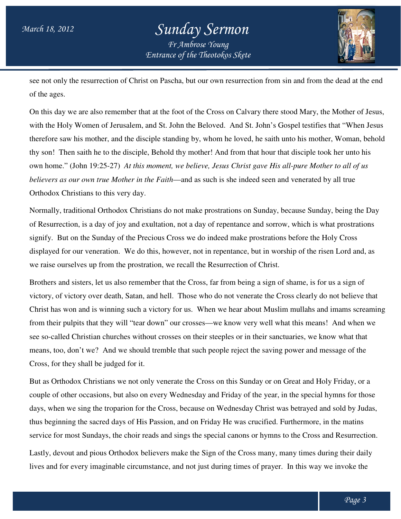## *Entrance of the Theotokos Skete Sunday Sermon Fr Ambrose Young*



see not only the resurrection of Christ on Pascha, but our own resurrection from sin and from the dead at the end of the ages.

On this day we are also remember that at the foot of the Cross on Calvary there stood Mary, the Mother of Jesus, On this day we are also remember that at the foot of the Cross on Calvary there stood Mary, the Mother of Jesus,<br>with the Holy Women of Jerusalem, and St. John the Beloved. And St. John's Gospel testifies that "When Jesus therefore saw his mother, and the disciple standing by, whom he loved, he saith unto his mother, Woman, behold thy son! Then saith he to the disciple, Behold thy mother! And from that hour that disciple took own home." (John 19:25-27) At this moment, we believe, Jesus Christ gave His all-pure Mother to all of us *believers as our own true Mother in the Faith* —and as such is she indeed seen and venerated by all true Orthodox Christians to this very day. cha, but our own resurrection from sin and from the dead at the of<br>foot of the Cross on Calvary there stood Mary, the Mother of Je<br>John the Beloved. And St. John's Gospel testifies that "When Je<br>nding by, whom he loved, he

Normally, traditional Orthodox Christians do not make prostrations on Sunday, because Sunday, being the Day of Resurrection, is a day of joy and exultation, not a day of repentance and sorrow, which is what prostrations signify. But on the Sunday of the Precious Cross we do indeed make prostrations before the Holy Cross displayed for our veneration. We do this, however, not in repentance, but in worship of the risen Lord and, as we raise ourselves up from the prostration, we recall the Resurrection of Christ. Orthodox Christians do not make prostrations on Sunday, because Sunday, being the Day<br>lay of joy and exultation, not a day of repentance and sorrow, which is what prostrations<br>unday of the Precious Cross we do indeed make and as such is she indeed seen and venerated by all true<br>t make prostrations on Sunday, because Sunday, being the Day<br>ot a day of repentance and sorrow, which is what prostrations<br>s we do indeed make prostrations before th

Brothers and sisters, let us also remember that the Cross, far from being a sign of shame, is for us a sign of Brothers and sisters, let us also remember that the Cross, far from being a sign of shame, is for us a sign of<br>victory, of victory over death, Satan, and hell. Those who do not venerate the Cross clearly do not believe tha Christ has won and is winning such a victory for us. When we hear about Muslim mullahs and imams screaming from their pulpits that they will "tear down" our crosses—we know very well what this means! And when we see so-called Christian churches without crosses on their steeples or in their sanctuaries, we know what that means, too, don't we? And we should tremble that such people reject the saving power and message of the Cross, for they shall be judged for it.

But as Orthodox Christians we not only venerate the Cross on this Sunday or on Great and Holy Friday, or a couple of other occasions, but also on every Wednesday and Friday of the year, in the special hymns for those days, when we sing the troparion for the Cross, because on Wednesday Christ was betrayed and sold by Judas, thus beginning the sacred days of His Passion, and on Friday He was crucified. Furthermore, in the matins service for most Sundays, the choir reads and sings the special canons or hymns to the Cross and Resurrection. other occasions, but also on every Wednesday and Friday of the year, in the special hymns for those<br>n we sing the troparion for the Cross, because on Wednesday Christ was betrayed and sold by Judas<br>ning the sacred days of ples or in their sanctuaries, we know what that<br>ble reject the saving power and message of the<br>n this Sunday or on Great and Holy Friday, or a<br>Friday of the year, in the special hymns for those<br>/ednesday Christ was betraye

Lastly, devout and pious Orthodox believers make the Sign of the Cross many, many times during their daily lives and for every imaginable circumstance, and not just during times of prayer. In this way we invoke the